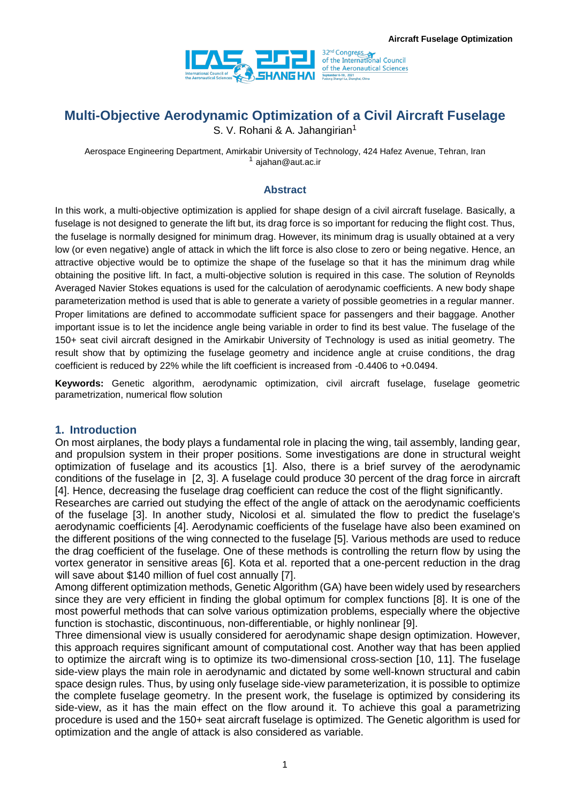

# **Multi-Objective Aerodynamic Optimization of a Civil Aircraft Fuselage**

S. V. Rohani & A. Jahangirian<sup>1</sup>

Aerospace Engineering Department, Amirkabir University of Technology, 424 Hafez Avenue, Tehran, Iran <sup>1</sup> ajahan@aut.ac.ir

#### **Abstract**

In this work, a multi-objective optimization is applied for shape design of a civil aircraft fuselage. Basically, a fuselage is not designed to generate the lift but, its drag force is so important for reducing the flight cost. Thus, the fuselage is normally designed for minimum drag. However, its minimum drag is usually obtained at a very low (or even negative) angle of attack in which the lift force is also close to zero or being negative. Hence, an attractive objective would be to optimize the shape of the fuselage so that it has the minimum drag while obtaining the positive lift. In fact, a multi-objective solution is required in this case. The solution of Reynolds Averaged Navier Stokes equations is used for the calculation of aerodynamic coefficients. A new body shape parameterization method is used that is able to generate a variety of possible geometries in a regular manner. Proper limitations are defined to accommodate sufficient space for passengers and their baggage. Another important issue is to let the incidence angle being variable in order to find its best value. The fuselage of the 150+ seat civil aircraft designed in the Amirkabir University of Technology is used as initial geometry. The result show that by optimizing the fuselage geometry and incidence angle at cruise conditions, the drag coefficient is reduced by 22% while the lift coefficient is increased from -0.4406 to +0.0494.

**Keywords:** Genetic algorithm, aerodynamic optimization, civil aircraft fuselage, fuselage geometric parametrization, numerical flow solution

#### **1. Introduction**

On most airplanes, the body plays a fundamental role in placing the wing, tail assembly, landing gear, and propulsion system in their proper positions. Some investigations are done in structural weight optimization of fuselage and its acoustics [1]. Also, there is a brief survey of the aerodynamic conditions of the fuselage in [2, 3]. A fuselage could produce 30 percent of the drag force in aircraft [4]. Hence, decreasing the fuselage drag coefficient can reduce the cost of the flight significantly.

Researches are carried out studying the effect of the angle of attack on the aerodynamic coefficients of the fuselage [3]. In another study, Nicolosi et al. simulated the flow to predict the fuselage's aerodynamic coefficients [4]. Aerodynamic coefficients of the fuselage have also been examined on the different positions of the wing connected to the fuselage [5]. Various methods are used to reduce the drag coefficient of the fuselage. One of these methods is controlling the return flow by using the vortex generator in sensitive areas [6]. Kota et al. reported that a one-percent reduction in the drag will save about \$140 million of fuel cost annually [7].

Among different optimization methods, Genetic Algorithm (GA) have been widely used by researchers since they are very efficient in finding the global optimum for complex functions [8]. It is one of the most powerful methods that can solve various optimization problems, especially where the objective function is stochastic, discontinuous, non-differentiable, or highly nonlinear [9].

Three dimensional view is usually considered for aerodynamic shape design optimization. However, this approach requires significant amount of computational cost. Another way that has been applied to optimize the aircraft wing is to optimize its two-dimensional cross-section [10, 11]. The fuselage side-view plays the main role in aerodynamic and dictated by some well-known structural and cabin space design rules. Thus, by using only fuselage side-view parameterization, it is possible to optimize the complete fuselage geometry. In the present work, the fuselage is optimized by considering its side-view, as it has the main effect on the flow around it. To achieve this goal a parametrizing procedure is used and the 150+ seat aircraft fuselage is optimized. The Genetic algorithm is used for optimization and the angle of attack is also considered as variable.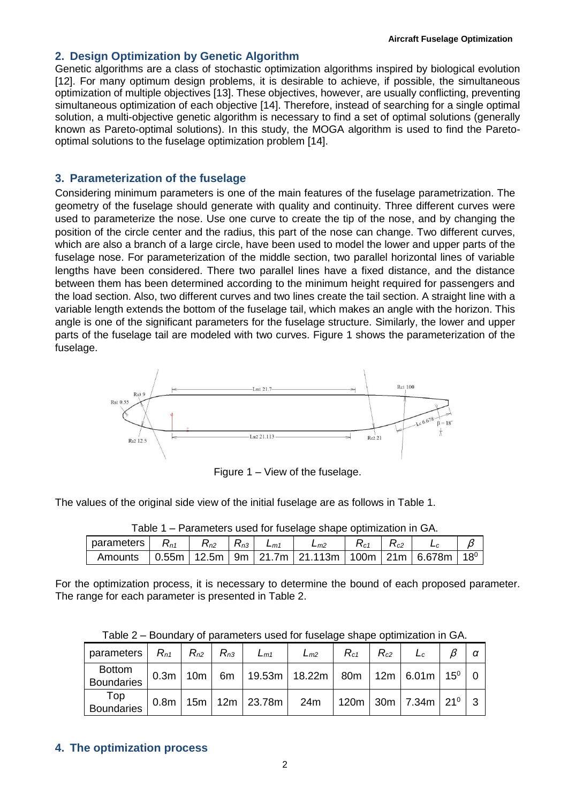#### **2. Design Optimization by Genetic Algorithm**

Genetic algorithms are a class of stochastic optimization algorithms inspired by biological evolution [12]. For many optimum design problems, it is desirable to achieve, if possible, the simultaneous optimization of multiple objectives [13]. These objectives, however, are usually conflicting, preventing simultaneous optimization of each objective [14]. Therefore, instead of searching for a single optimal solution, a multi-objective genetic algorithm is necessary to find a set of optimal solutions (generally known as Pareto-optimal solutions). In this study, the MOGA algorithm is used to find the Paretooptimal solutions to the fuselage optimization problem [14].

#### **3. Parameterization of the fuselage**

Considering minimum parameters is one of the main features of the fuselage parametrization. The geometry of the fuselage should generate with quality and continuity. Three different curves were used to parameterize the nose. Use one curve to create the tip of the nose, and by changing the position of the circle center and the radius, this part of the nose can change. Two different curves, which are also a branch of a large circle, have been used to model the lower and upper parts of the fuselage nose. For parameterization of the middle section, two parallel horizontal lines of variable lengths have been considered. There two parallel lines have a fixed distance, and the distance between them has been determined according to the minimum height required for passengers and the load section. Also, two different curves and two lines create the tail section. A straight line with a variable length extends the bottom of the fuselage tail, which makes an angle with the horizon. This angle is one of the significant parameters for the fuselage structure. Similarly, the lower and upper parts of the fuselage tail are modeled with two curves. Figure 1 shows the parameterization of the fuselage.



Figure 1 – View of the fuselage.

The values of the original side view of the initial fuselage are as follows in Table 1.

| Table 1 – Parameters used for fuselage shape optimization in GA.                       |  |  |  |  |          |          |          |       |  |
|----------------------------------------------------------------------------------------|--|--|--|--|----------|----------|----------|-------|--|
| parameters $\mid$ $R_{n1}$   $R_{n2}$   $R_{n3}$   $L_{m1}$                            |  |  |  |  | $L_{m2}$ | $R_{c1}$ | $R_{c2}$ | $L_c$ |  |
| Amounts   0.55m   12.5m   9m   21.7m   21.113m   100m   21m   6.678m   18 <sup>0</sup> |  |  |  |  |          |          |          |       |  |

Table 1 – Parameters used for fuselage shape optimization in GA.

For the optimization process, it is necessary to determine the bound of each proposed parameter. The range for each parameter is presented in Table 2.

| parameters                         | $R_{n1}$   $R_{n2}$   $R_{n3}$ |  | $L_{m1}$ | $L_{m2}$                                                                                                                      | $R_{c1}$ | $R_{c2}$ |  |  |
|------------------------------------|--------------------------------|--|----------|-------------------------------------------------------------------------------------------------------------------------------|----------|----------|--|--|
| <b>Bottom</b><br><b>Boundaries</b> |                                |  |          | $\mid$ 0.3m $\mid$ 10m $\mid$ 6m $\mid$ 19.53m $\mid$ 18.22m $\mid$ 80m $\mid$ 12m $\mid$ 6.01m $\mid$ 15 $^{\rm o}$ $\mid$ 0 |          |          |  |  |
| Top<br>Boundaries                  |                                |  |          | $0.8m$   15m   12m   23.78m   24m   120m   30m   7.34m   21 <sup>0</sup>   3                                                  |          |          |  |  |

## **4. The optimization process**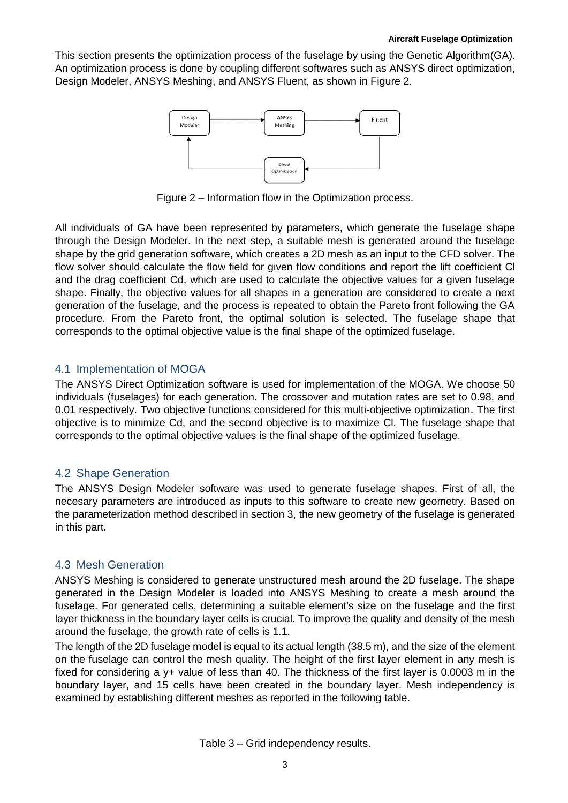**oge** This section presents the optimization process of the fuselage by using the Genetic Algorithm(GA). An optimization process is done by coupling different softwares such as ANSYS direct optimization, Design Modeler, ANSYS Meshing, and ANSYS Fluent, as shown in Figure 2.



Figure 2 – Information flow in the Optimization process.

All individuals of GA have been represented by parameters, which generate the fuselage shape through the Design Modeler. In the next step, a suitable mesh is generated around the fuselage shape by the grid generation software, which creates a 2D mesh as an input to the CFD solver. The flow solver should calculate the flow field for given flow conditions and report the lift coefficient Cl and the drag coefficient Cd, which are used to calculate the objective values for a given fuselage shape. Finally, the objective values for all shapes in a generation are considered to create a next generation of the fuselage, and the process is repeated to obtain the Pareto front following the GA procedure. From the Pareto front, the optimal solution is selected. The fuselage shape that corresponds to the optimal objective value is the final shape of the optimized fuselage.

#### 4.1 Implementation of MOGA

The ANSYS Direct Optimization software is used for implementation of the MOGA. We choose 50 individuals (fuselages) for each generation. The crossover and mutation rates are set to 0.98, and 0.01 respectively. Two objective functions considered for this multi-objective optimization. The first objective is to minimize Cd, and the second objective is to maximize Cl. The fuselage shape that corresponds to the optimal objective values is the final shape of the optimized fuselage.

#### 4.2 Shape Generation

The ANSYS Design Modeler software was used to generate fuselage shapes. First of all, the necesary parameters are introduced as inputs to this software to create new geometry. Based on the parameterization method described in section 3, the new geometry of the fuselage is generated in this part.

#### 4.3 Mesh Generation

ANSYS Meshing is considered to generate unstructured mesh around the 2D fuselage. The shape generated in the Design Modeler is loaded into ANSYS Meshing to create a mesh around the fuselage. For generated cells, determining a suitable element's size on the fuselage and the first layer thickness in the boundary layer cells is crucial. To improve the quality and density of the mesh around the fuselage, the growth rate of cells is 1.1.

The length of the 2D fuselage model is equal to its actual length (38.5 m), and the size of the element on the fuselage can control the mesh quality. The height of the first layer element in any mesh is fixed for considering a  $y+$  value of less than 40. The thickness of the first layer is 0.0003 m in the boundary layer, and 15 cells have been created in the boundary layer. Mesh independency is examined by establishing different meshes as reported in the following table.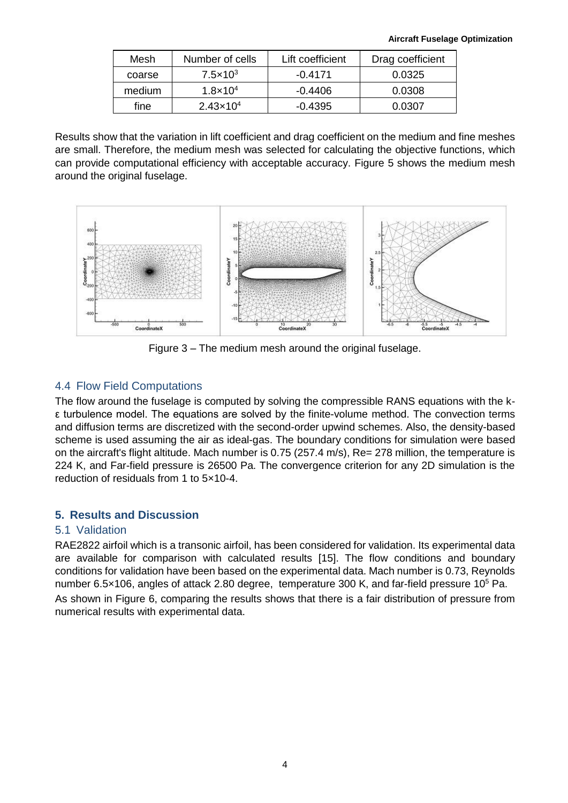| Mesh   | Number of cells      | Lift coefficient | Drag coefficient |
|--------|----------------------|------------------|------------------|
| coarse | $7.5 \times 10^3$    | $-0.4171$        | 0.0325           |
| medium | $1.8 \times 10^{4}$  | $-0.4406$        | 0.0308           |
| fine   | $2.43 \times 10^{4}$ | $-0.4395$        | 0.0307           |

Results show that the variation in lift coefficient and drag coefficient on the medium and fine meshes are small. Therefore, the medium mesh was selected for calculating the objective functions, which can provide computational efficiency with acceptable accuracy. Figure 5 shows the medium mesh around the original fuselage.



Figure 3 – The medium mesh around the original fuselage.

## 4.4 Flow Field Computations

The flow around the fuselage is computed by solving the compressible RANS equations with the kε turbulence model. The equations are solved by the finite-volume method. The convection terms and diffusion terms are discretized with the second-order upwind schemes. Also, the density-based scheme is used assuming the air as ideal-gas. The boundary conditions for simulation were based on the aircraft's flight altitude. Mach number is 0.75 (257.4 m/s), Re= 278 million, the temperature is 224 K, and Far-field pressure is 26500 Pa. The convergence criterion for any 2D simulation is the reduction of residuals from 1 to 5×10-4.

## **5. Results and Discussion**

## 5.1 Validation

RAE2822 airfoil which is a transonic airfoil, has been considered for validation. Its experimental data are available for comparison with calculated results [15]. The flow conditions and boundary conditions for validation have been based on the experimental data. Mach number is 0.73, Reynolds number 6.5 $\times$ 106, angles of attack 2.80 degree, temperature 300 K, and far-field pressure 10<sup>5</sup> Pa.

As shown in Figure 6, comparing the results shows that there is a fair distribution of pressure from numerical results with experimental data.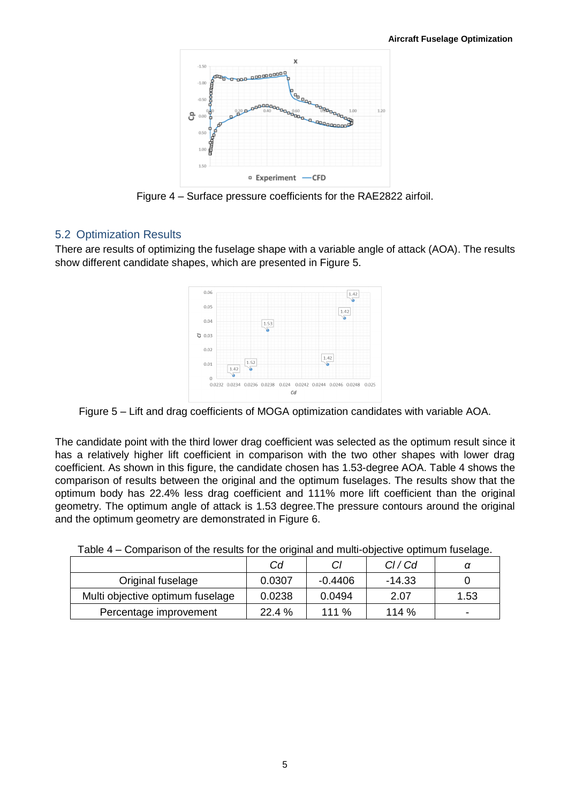

Figure 4 – Surface pressure coefficients for the RAE2822 airfoil.

#### 5.2 Optimization Results

There are results of optimizing the fuselage shape with a variable angle of attack (AOA). The results show different candidate shapes, which are presented in Figure 5.



Figure 5 – Lift and drag coefficients of MOGA optimization candidates with variable AOA.

The candidate point with the third lower drag coefficient was selected as the optimum result since it has a relatively higher lift coefficient in comparison with the two other shapes with lower drag coefficient. As shown in this figure, the candidate chosen has 1.53-degree AOA. Table 4 shows the comparison of results between the original and the optimum fuselages. The results show that the optimum body has 22.4% less drag coefficient and 111% more lift coefficient than the original geometry. The optimum angle of attack is 1.53 degree.The pressure contours around the original and the optimum geometry are demonstrated in Figure 6.

|                                  |                |           |        | $\overline{\phantom{a}}$ |
|----------------------------------|----------------|-----------|--------|--------------------------|
|                                  | C <sub>d</sub> |           | Cl/Cd  |                          |
| Original fuselage                | 0.0307         | $-0.4406$ | -14.33 |                          |
| Multi objective optimum fuselage | 0.0238         | 0.0494    | 2.07   | 1.53                     |
| Percentage improvement           | 22.4 %         | 111 $%$   | 114%   |                          |

Table 4 – Comparison of the results for the original and multi-objective optimum fuselage.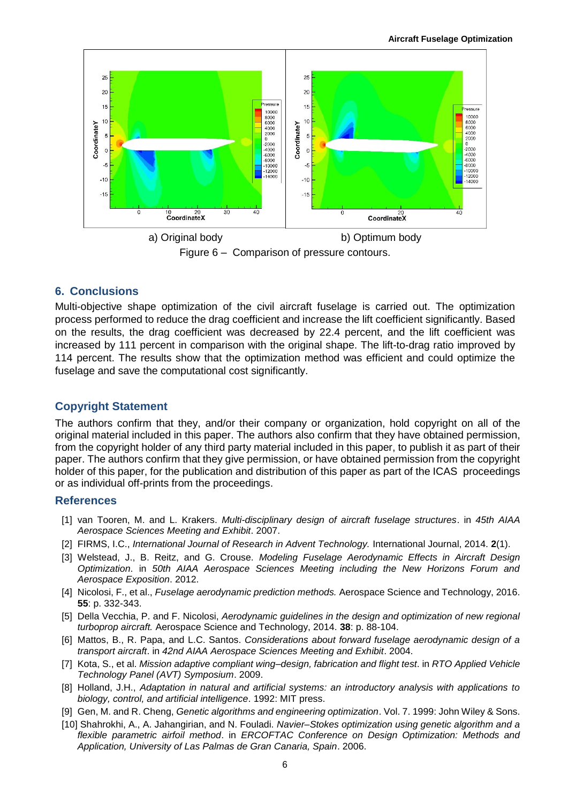

#### **6. Conclusions**

Multi-objective shape optimization of the civil aircraft fuselage is carried out. The optimization process performed to reduce the drag coefficient and increase the lift coefficient significantly. Based on the results, the drag coefficient was decreased by 22.4 percent, and the lift coefficient was increased by 111 percent in comparison with the original shape. The lift-to-drag ratio improved by 114 percent. The results show that the optimization method was efficient and could optimize the fuselage and save the computational cost significantly.

#### **Copyright Statement**

The authors confirm that they, and/or their company or organization, hold copyright on all of the original material included in this paper. The authors also confirm that they have obtained permission, from the copyright holder of any third party material included in this paper, to publish it as part of their paper. The authors confirm that they give permission, or have obtained permission from the copyright holder of this paper, for the publication and distribution of this paper as part of the ICAS proceedings or as individual off-prints from the proceedings.

#### **References**

- [1] van Tooren, M. and L. Krakers. *Multi-disciplinary design of aircraft fuselage structures*. in *45th AIAA Aerospace Sciences Meeting and Exhibit*. 2007.
- [2] FIRMS, I.C., *International Journal of Research in Advent Technology.* International Journal, 2014. **2**(1).
- [3] Welstead, J., B. Reitz, and G. Crouse. *Modeling Fuselage Aerodynamic Effects in Aircraft Design Optimization*. in *50th AIAA Aerospace Sciences Meeting including the New Horizons Forum and Aerospace Exposition*. 2012.
- [4] Nicolosi, F., et al., *Fuselage aerodynamic prediction methods.* Aerospace Science and Technology, 2016. **55**: p. 332-343.
- [5] Della Vecchia, P. and F. Nicolosi, *Aerodynamic quidelines in the design and optimization of new regional turboprop aircraft.* Aerospace Science and Technology, 2014. **38**: p. 88-104.
- [6] Mattos, B., R. Papa, and L.C. Santos. *Considerations about forward fuselage aerodynamic design of a transport aircraft*. in *42nd AIAA Aerospace Sciences Meeting and Exhibit*. 2004.
- [7] Kota, S., et al. *Mission adaptive compliant wing–design, fabrication and flight test*. in *RTO Applied Vehicle Technology Panel (AVT) Symposium*. 2009.
- [8] Holland, J.H., *Adaptation in natural and artificial systems: an introductory analysis with applications to biology, control, and artificial intelligence*. 1992: MIT press.
- [9] Gen, M. and R. Cheng, *Genetic algorithms and engineering optimization*. Vol. 7. 1999: John Wiley & Sons.
- [10] Shahrokhi, A., A. Jahangirian, and N. Fouladi. *Navier–Stokes optimization using genetic algorithm and a flexible parametric airfoil method*. in *ERCOFTAC Conference on Design Optimization: Methods and Application, University of Las Palmas de Gran Canaria, Spain*. 2006.